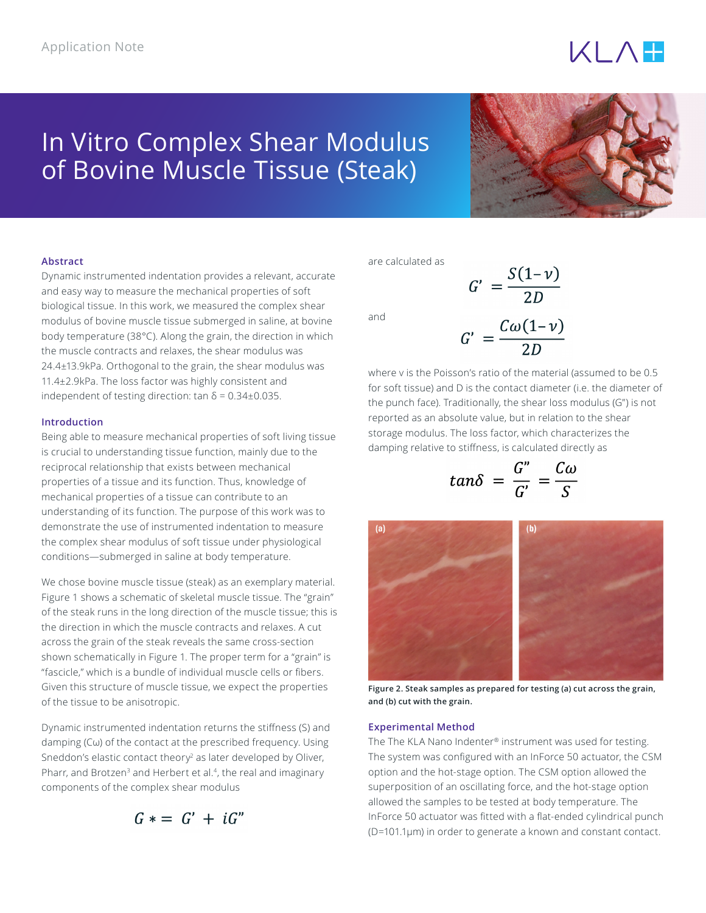# $KLA$

# In Vitro Complex Shear Modulus of Bovine Muscle Tissue (Steak)



# **Abstract**

Dynamic instrumented indentation provides a relevant, accurate and easy way to measure the mechanical properties of soft biological tissue. In this work, we measured the complex shear modulus of bovine muscle tissue submerged in saline, at bovine body temperature (38°C). Along the grain, the direction in which the muscle contracts and relaxes, the shear modulus was 24.4±13.9kPa. Orthogonal to the grain, the shear modulus was 11.4±2.9kPa. The loss factor was highly consistent and independent of testing direction: tan  $\delta = 0.34 \pm 0.035$ .

# **Introduction**

Being able to measure mechanical properties of soft living tissue is crucial to understanding tissue function, mainly due to the reciprocal relationship that exists between mechanical properties of a tissue and its function. Thus, knowledge of mechanical properties of a tissue can contribute to an understanding of its function. The purpose of this work was to demonstrate the use of instrumented indentation to measure the complex shear modulus of soft tissue under physiological conditions—submerged in saline at body temperature.

We chose bovine muscle tissue (steak) as an exemplary material. Figure 1 shows a schematic of skeletal muscle tissue. The "grain" of the steak runs in the long direction of the muscle tissue; this is the direction in which the muscle contracts and relaxes. A cut across the grain of the steak reveals the same cross-section shown schematically in Figure 1. The proper term for a "grain" is "fascicle," which is a bundle of individual muscle cells or fibers. Given this structure of muscle tissue, we expect the properties of the tissue to be anisotropic.

Dynamic instrumented indentation returns the stiffness (S) and damping (Cω) of the contact at the prescribed frequency. Using Sneddon's elastic contact theory<sup>2</sup> as later developed by Oliver, Pharr, and Brotzen<sup>3</sup> and Herbert et al.<sup>4</sup>, the real and imaginary components of the complex shear modulus

$$
G\ast =\ G'\ +\ iG''
$$

are calculated as

and

$$
G' = \frac{C\omega(1-\nu)}{2D}
$$

 $G' = \frac{S(1-\nu)}{2D}$ 

where v is the Poisson's ratio of the material (assumed to be 0.5 for soft tissue) and D is the contact diameter (i.e. the diameter of the punch face). Traditionally, the shear loss modulus (G") is not reported as an absolute value, but in relation to the shear storage modulus. The loss factor, which characterizes the damping relative to stiffness, is calculated directly as

$$
tan\delta = \frac{G''}{G'} = \frac{C\omega}{S}
$$



**Figure 2. Steak samples as prepared for testing (a) cut across the grain, and (b) cut with the grain.**

### **Experimental Method**

The The KLA Nano Indenter® instrument was used for testing. The system was configured with an InForce 50 actuator, the CSM option and the hot-stage option. The CSM option allowed the superposition of an oscillating force, and the hot-stage option allowed the samples to be tested at body temperature. The InForce 50 actuator was fitted with a flat-ended cylindrical punch (D=101.1μm) in order to generate a known and constant contact.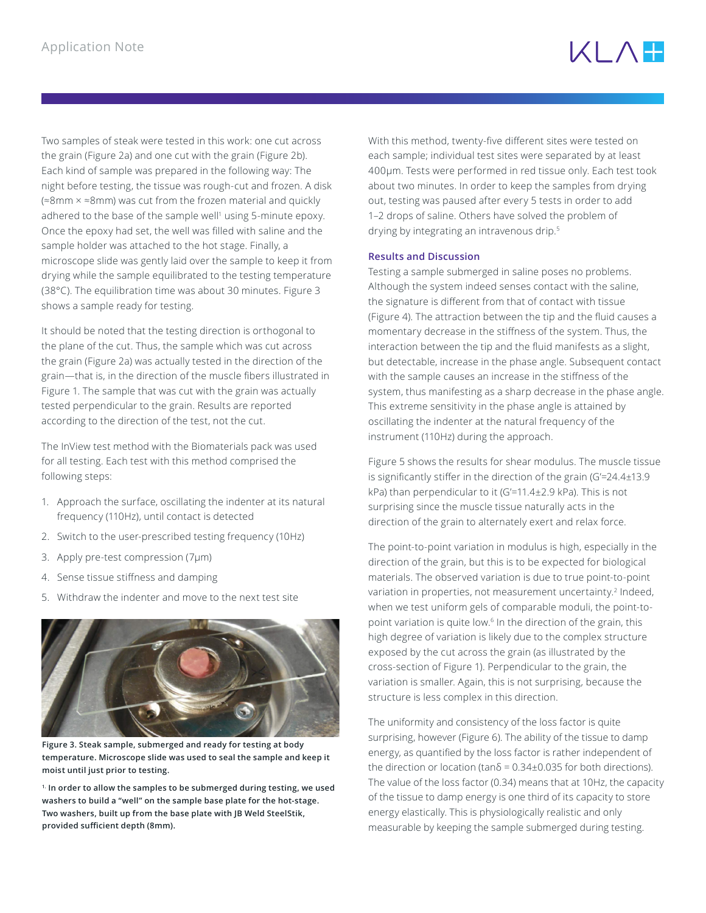Two samples of steak were tested in this work: one cut across the grain (Figure 2a) and one cut with the grain (Figure 2b). Each kind of sample was prepared in the following way: The night before testing, the tissue was rough-cut and frozen. A disk (≈8mm × ≈8mm) was cut from the frozen material and quickly adhered to the base of the sample well<sup>1</sup> using 5-minute epoxy. Once the epoxy had set, the well was filled with saline and the sample holder was attached to the hot stage. Finally, a microscope slide was gently laid over the sample to keep it from drying while the sample equilibrated to the testing temperature (38°C). The equilibration time was about 30 minutes. Figure 3 shows a sample ready for testing.

It should be noted that the testing direction is orthogonal to the plane of the cut. Thus, the sample which was cut across the grain (Figure 2a) was actually tested in the direction of the grain—that is, in the direction of the muscle fibers illustrated in Figure 1. The sample that was cut with the grain was actually tested perpendicular to the grain. Results are reported according to the direction of the test, not the cut.

The InView test method with the Biomaterials pack was used for all testing. Each test with this method comprised the following steps:

- 1. Approach the surface, oscillating the indenter at its natural frequency (110Hz), until contact is detected
- 2. Switch to the user-prescribed testing frequency (10Hz)
- 3. Apply pre-test compression (7μm)
- 4. Sense tissue stiffness and damping
- 5. Withdraw the indenter and move to the next test site



**Figure 3. Steak sample, submerged and ready for testing at body temperature. Microscope slide was used to seal the sample and keep it moist until just prior to testing.**

**1. In order to allow the samples to be submerged during testing, we used washers to build a "well" on the sample base plate for the hot-stage. Two washers, built up from the base plate with JB Weld SteelStik, provided sufficient depth (8mm).**

With this method, twenty-five different sites were tested on each sample; individual test sites were separated by at least 400μm. Tests were performed in red tissue only. Each test took about two minutes. In order to keep the samples from drying out, testing was paused after every 5 tests in order to add 1–2 drops of saline. Others have solved the problem of drying by integrating an intravenous drip.<sup>5</sup>

# **Results and Discussion**

Testing a sample submerged in saline poses no problems. Although the system indeed senses contact with the saline, the signature is different from that of contact with tissue (Figure 4). The attraction between the tip and the fluid causes a momentary decrease in the stiffness of the system. Thus, the interaction between the tip and the fluid manifests as a slight, but detectable, increase in the phase angle. Subsequent contact with the sample causes an increase in the stiffness of the system, thus manifesting as a sharp decrease in the phase angle. This extreme sensitivity in the phase angle is attained by oscillating the indenter at the natural frequency of the instrument (110Hz) during the approach.

Figure 5 shows the results for shear modulus. The muscle tissue is significantly stiffer in the direction of the grain (G'=24.4±13.9 kPa) than perpendicular to it (G'=11.4±2.9 kPa). This is not surprising since the muscle tissue naturally acts in the direction of the grain to alternately exert and relax force.

The point-to-point variation in modulus is high, especially in the direction of the grain, but this is to be expected for biological materials. The observed variation is due to true point-to-point variation in properties, not measurement uncertainty.<sup>2</sup> Indeed, when we test uniform gels of comparable moduli, the point-topoint variation is quite low.<sup>6</sup> In the direction of the grain, this high degree of variation is likely due to the complex structure exposed by the cut across the grain (as illustrated by the cross-section of Figure 1). Perpendicular to the grain, the variation is smaller. Again, this is not surprising, because the structure is less complex in this direction.

The uniformity and consistency of the loss factor is quite surprising, however (Figure 6). The ability of the tissue to damp energy, as quantified by the loss factor is rather independent of the direction or location (tan $\delta$  = 0.34±0.035 for both directions). The value of the loss factor (0.34) means that at 10Hz, the capacity of the tissue to damp energy is one third of its capacity to store energy elastically. This is physiologically realistic and only measurable by keeping the sample submerged during testing.